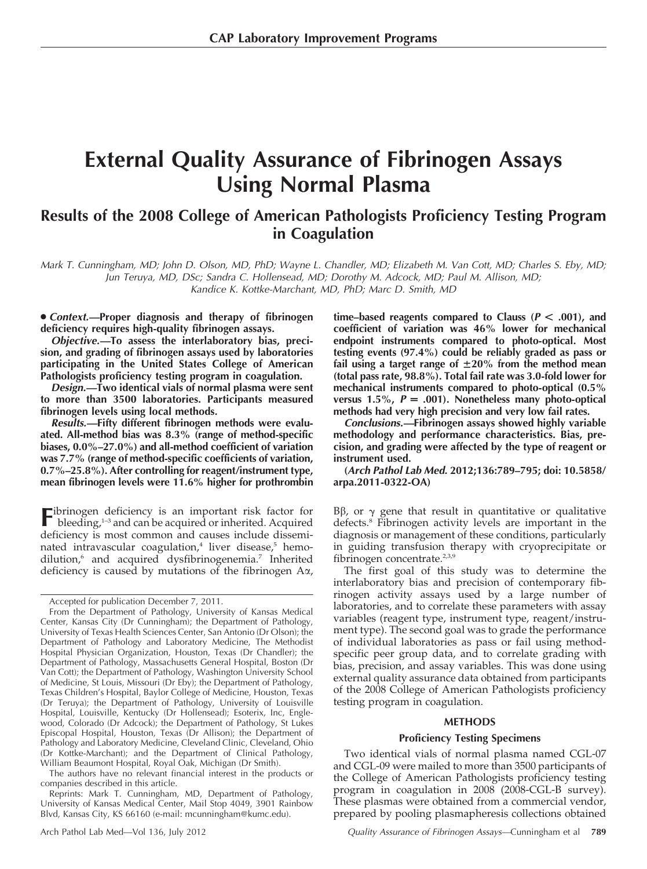# External Quality Assurance of Fibrinogen Assays Using Normal Plasma

# Results of the 2008 College of American Pathologists Proficiency Testing Program in Coagulation

Mark T. Cunningham, MD; John D. Olson, MD, PhD; Wayne L. Chandler, MD; Elizabeth M. Van Cott, MD; Charles S. Eby, MD; Jun Teruya, MD, DSc; Sandra C. Hollensead, MD; Dorothy M. Adcock, MD; Paul M. Allison, MD; Kandice K. Kottke-Marchant, MD, PhD; Marc D. Smith, MD

• Context.—Proper diagnosis and therapy of fibrinogen deficiency requires high-quality fibrinogen assays.

Objective.—To assess the interlaboratory bias, precision, and grading of fibrinogen assays used by laboratories participating in the United States College of American Pathologists proficiency testing program in coagulation.

Design.—Two identical vials of normal plasma were sent to more than 3500 laboratories. Participants measured fibrinogen levels using local methods.

Results.—Fifty different fibrinogen methods were evaluated. All-method bias was 8.3% (range of method-specific biases, 0.0%–27.0%) and all-method coefficient of variation was 7.7% (range of method-specific coefficients of variation, 0.7%–25.8%). After controlling for reagent/instrument type, mean fibrinogen levels were 11.6% higher for prothrombin

Fibrinogen deficiency is an important risk factor for bleeding,<sup>1-3</sup> and can be acquired or inherited. Acquired deficiency is most common and causes include disseminated intravascular coagulation, $4$  liver disease, $5$  hemodilution,<sup>6</sup> and acquired dysfibrinogenemia.<sup>7</sup> Inherited deficiency is caused by mutations of the fibrinogen Aa,

The authors have no relevant financial interest in the products or companies described in this article.

Reprints: Mark T. Cunningham, MD, Department of Pathology, University of Kansas Medical Center, Mail Stop 4049, 3901 Rainbow Blvd, Kansas City, KS 66160 (e-mail: mcunningham@kumc.edu).

time–based reagents compared to Clauss ( $P < .001$ ), and coefficient of variation was 46% lower for mechanical endpoint instruments compared to photo-optical. Most testing events (97.4%) could be reliably graded as pass or fail using a target range of  $\pm 20\%$  from the method mean (total pass rate, 98.8%). Total fail rate was 3.0-fold lower for mechanical instruments compared to photo-optical (0.5% versus 1.5%,  $P = .001$ ). Nonetheless many photo-optical methods had very high precision and very low fail rates.

Conclusions.—Fibrinogen assays showed highly variable methodology and performance characteristics. Bias, precision, and grading were affected by the type of reagent or instrument used.

(Arch Pathol Lab Med. 2012;136:789–795; doi: 10.5858/ arpa.2011-0322-OA)

Bβ, or  $\gamma$  gene that result in quantitative or qualitative defects.8 Fibrinogen activity levels are important in the diagnosis or management of these conditions, particularly in guiding transfusion therapy with cryoprecipitate or fibrinogen concentrate.<sup>2,3,9</sup>

The first goal of this study was to determine the interlaboratory bias and precision of contemporary fibrinogen activity assays used by a large number of laboratories, and to correlate these parameters with assay variables (reagent type, instrument type, reagent/instrument type). The second goal was to grade the performance of individual laboratories as pass or fail using methodspecific peer group data, and to correlate grading with bias, precision, and assay variables. This was done using external quality assurance data obtained from participants of the 2008 College of American Pathologists proficiency testing program in coagulation.

### **METHODS**

#### Proficiency Testing Specimens

Two identical vials of normal plasma named CGL-07 and CGL-09 were mailed to more than 3500 participants of the College of American Pathologists proficiency testing program in coagulation in 2008 (2008-CGL-B survey). These plasmas were obtained from a commercial vendor, prepared by pooling plasmapheresis collections obtained

Accepted for publication December 7, 2011.

From the Department of Pathology, University of Kansas Medical Center, Kansas City (Dr Cunningham); the Department of Pathology, University of Texas Health Sciences Center, San Antonio (Dr Olson); the Department of Pathology and Laboratory Medicine, The Methodist Hospital Physician Organization, Houston, Texas (Dr Chandler); the Department of Pathology, Massachusetts General Hospital, Boston (Dr Van Cott); the Department of Pathology, Washington University School of Medicine, St Louis, Missouri (Dr Eby); the Department of Pathology, Texas Children's Hospital, Baylor College of Medicine, Houston, Texas (Dr Teruya); the Department of Pathology, University of Louisville Hospital, Louisville, Kentucky (Dr Hollensead); Esoterix, Inc, Englewood, Colorado (Dr Adcock); the Department of Pathology, St Lukes Episcopal Hospital, Houston, Texas (Dr Allison); the Department of Pathology and Laboratory Medicine, Cleveland Clinic, Cleveland, Ohio (Dr Kottke-Marchant); and the Department of Clinical Pathology, William Beaumont Hospital, Royal Oak, Michigan (Dr Smith).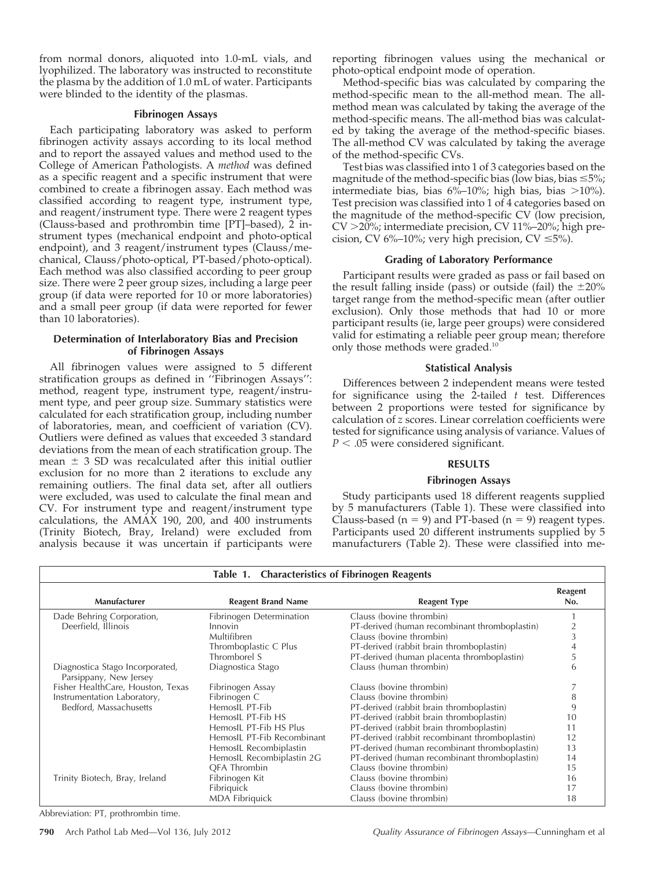from normal donors, aliquoted into 1.0-mL vials, and lyophilized. The laboratory was instructed to reconstitute the plasma by the addition of 1.0 mL of water. Participants were blinded to the identity of the plasmas.

#### Fibrinogen Assays

Each participating laboratory was asked to perform fibrinogen activity assays according to its local method and to report the assayed values and method used to the College of American Pathologists. A method was defined as a specific reagent and a specific instrument that were combined to create a fibrinogen assay. Each method was classified according to reagent type, instrument type, and reagent/instrument type. There were 2 reagent types (Clauss-based and prothrombin time [PT]–based), 2 instrument types (mechanical endpoint and photo-optical endpoint), and 3 reagent/instrument types (Clauss/mechanical, Clauss/photo-optical, PT-based/photo-optical). Each method was also classified according to peer group size. There were 2 peer group sizes, including a large peer group (if data were reported for 10 or more laboratories) and a small peer group (if data were reported for fewer than 10 laboratories).

## Determination of Interlaboratory Bias and Precision of Fibrinogen Assays

All fibrinogen values were assigned to 5 different stratification groups as defined in ''Fibrinogen Assays'': method, reagent type, instrument type, reagent/instrument type, and peer group size. Summary statistics were calculated for each stratification group, including number of laboratories, mean, and coefficient of variation (CV). Outliers were defined as values that exceeded 3 standard deviations from the mean of each stratification group. The mean  $\pm$  3 SD was recalculated after this initial outlier exclusion for no more than 2 iterations to exclude any remaining outliers. The final data set, after all outliers were excluded, was used to calculate the final mean and CV. For instrument type and reagent/instrument type calculations, the AMAX 190, 200, and 400 instruments (Trinity Biotech, Bray, Ireland) were excluded from analysis because it was uncertain if participants were

reporting fibrinogen values using the mechanical or photo-optical endpoint mode of operation.

Method-specific bias was calculated by comparing the method-specific mean to the all-method mean. The allmethod mean was calculated by taking the average of the method-specific means. The all-method bias was calculated by taking the average of the method-specific biases. The all-method CV was calculated by taking the average of the method-specific CVs.

Test bias was classified into 1 of 3 categories based on the magnitude of the method-specific bias (low bias, bias  $\leq 5\%$ ; intermediate bias, bias  $6\%$ -10%; high bias, bias >10%). Test precision was classified into 1 of 4 categories based on the magnitude of the method-specific CV (low precision, CV >20%; intermediate precision, CV 11%-20%; high precision, CV  $6\%$ –10%; very high precision, CV  $\leq 5\%$ ).

### Grading of Laboratory Performance

Participant results were graded as pass or fail based on the result falling inside (pass) or outside (fail) the  $\pm 20\%$ target range from the method-specific mean (after outlier exclusion). Only those methods that had 10 or more participant results (ie, large peer groups) were considered valid for estimating a reliable peer group mean; therefore only those methods were graded.10

# Statistical Analysis

Differences between 2 independent means were tested for significance using the 2-tailed  $t$  test. Differences between 2 proportions were tested for significance by calculation of z scores. Linear correlation coefficients were tested for significance using analysis of variance. Values of  $P < .05$  were considered significant.

# RESULTS

### Fibrinogen Assays

Study participants used 18 different reagents supplied by 5 manufacturers (Table 1). These were classified into Clauss-based ( $n = 9$ ) and PT-based ( $n = 9$ ) reagent types. Participants used 20 different instruments supplied by 5 manufacturers (Table 2). These were classified into me-

| Table 1. Characteristics of Fibrinogen Reagents           |                            |                                                |                       |  |  |
|-----------------------------------------------------------|----------------------------|------------------------------------------------|-----------------------|--|--|
| Manufacturer                                              | <b>Reagent Brand Name</b>  | <b>Reagent Type</b>                            | <b>Reagent</b><br>No. |  |  |
| Dade Behring Corporation,                                 | Fibrinogen Determination   | Clauss (bovine thrombin)                       |                       |  |  |
| Deerfield, Illinois                                       | Innovin                    | PT-derived (human recombinant thromboplastin)  | $\overline{c}$        |  |  |
|                                                           | Multifibren                | Clauss (bovine thrombin)                       | 3                     |  |  |
|                                                           | Thromboplastic C Plus      | PT-derived (rabbit brain thromboplastin)       | 4                     |  |  |
|                                                           | Thromborel S               | PT-derived (human placenta thromboplastin)     | 5                     |  |  |
| Diagnostica Stago Incorporated,<br>Parsippany, New Jersey | Diagnostica Stago          | Clauss (human thrombin)                        | 6                     |  |  |
| Fisher HealthCare, Houston, Texas                         | Fibrinogen Assay           | Clauss (bovine thrombin)                       |                       |  |  |
| Instrumentation Laboratory,                               | Fibrinogen C               | Clauss (bovine thrombin)                       | 8                     |  |  |
| Bedford, Massachusetts                                    | HemosIL PT-Fib             | PT-derived (rabbit brain thromboplastin)       | 9                     |  |  |
|                                                           | HemosIL PT-Fib HS          | PT-derived (rabbit brain thromboplastin)       | 10                    |  |  |
|                                                           | HemosIL PT-Fib HS Plus     | PT-derived (rabbit brain thromboplastin)       | 11                    |  |  |
|                                                           | HemosIL PT-Fib Recombinant | PT-derived (rabbit recombinant thromboplastin) | 12                    |  |  |
|                                                           | HemosIL Recombiplastin     | PT-derived (human recombinant thromboplastin)  | 13                    |  |  |
|                                                           | HemosIL Recombiplastin 2G  | PT-derived (human recombinant thromboplastin)  | 14                    |  |  |
|                                                           | QFA Thrombin               | Clauss (bovine thrombin)                       | 15                    |  |  |
| Trinity Biotech, Bray, Ireland                            | Fibrinogen Kit             | Clauss (bovine thrombin)                       | 16                    |  |  |
|                                                           | Fibriquick                 | Clauss (bovine thrombin)                       | 17                    |  |  |
|                                                           | <b>MDA Fibriquick</b>      | Clauss (bovine thrombin)                       | 18                    |  |  |

Abbreviation: PT, prothrombin time.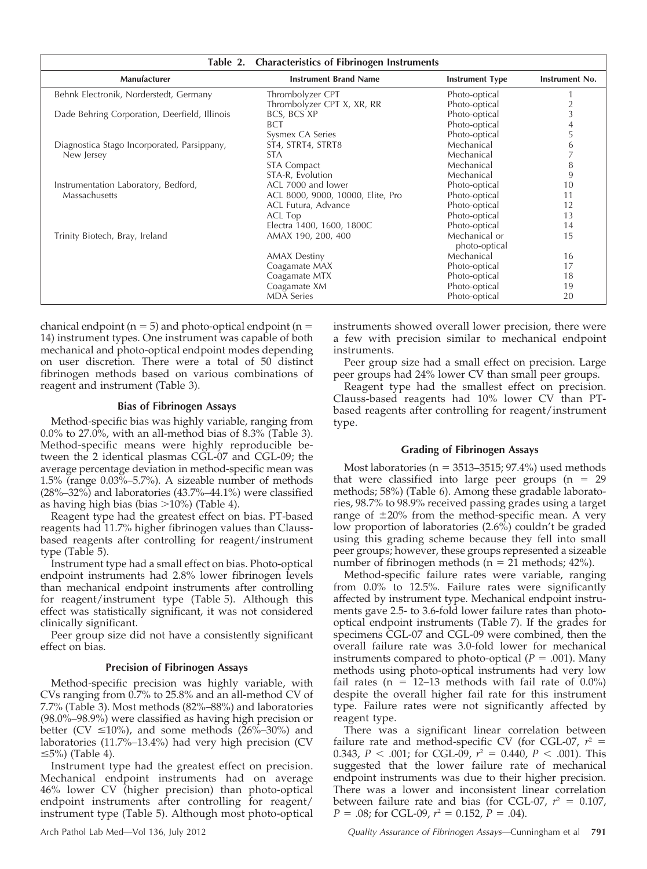|                                               | Table 2. Characteristics of Fibrinogen Instruments |                                |                |
|-----------------------------------------------|----------------------------------------------------|--------------------------------|----------------|
| Manufacturer                                  | <b>Instrument Brand Name</b>                       | <b>Instrument Type</b>         | Instrument No. |
| Behnk Electronik, Norderstedt, Germany        | Thrombolyzer CPT                                   | Photo-optical                  |                |
|                                               | Thrombolyzer CPT X, XR, RR                         | Photo-optical                  | $\overline{2}$ |
| Dade Behring Corporation, Deerfield, Illinois | BCS, BCS XP                                        | Photo-optical                  | 3              |
|                                               | <b>BCT</b>                                         | Photo-optical                  | 4              |
|                                               | Sysmex CA Series                                   | Photo-optical                  | 5              |
| Diagnostica Stago Incorporated, Parsippany,   | ST4, STRT4, STRT8                                  | Mechanical                     | 6              |
| New Jersey                                    | <b>STA</b>                                         | Mechanical                     |                |
|                                               | <b>STA Compact</b>                                 | Mechanical                     | 8              |
|                                               | STA-R, Evolution                                   | Mechanical                     | 9              |
| Instrumentation Laboratory, Bedford,          | ACL 7000 and lower                                 | Photo-optical                  | 10             |
| Massachusetts                                 | ACL 8000, 9000, 10000, Elite, Pro                  | Photo-optical                  |                |
|                                               | ACL Futura, Advance                                | Photo-optical                  | 12             |
|                                               | ACL Top                                            | Photo-optical                  | 13             |
|                                               | Electra 1400, 1600, 1800C                          | Photo-optical                  | 14             |
| Trinity Biotech, Bray, Ireland                | AMAX 190, 200, 400                                 | Mechanical or<br>photo-optical | 15             |
|                                               | <b>AMAX Destiny</b>                                | Mechanical                     | 16             |
|                                               | Coagamate MAX                                      | Photo-optical                  | 17             |
|                                               | Coagamate MTX                                      | Photo-optical                  | 18             |
|                                               | Coagamate XM                                       | Photo-optical                  | 19             |
|                                               | <b>MDA Series</b>                                  | Photo-optical                  | 20             |

chanical endpoint ( $n = 5$ ) and photo-optical endpoint ( $n = 5$ ) 14) instrument types. One instrument was capable of both mechanical and photo-optical endpoint modes depending on user discretion. There were a total of 50 distinct fibrinogen methods based on various combinations of reagent and instrument (Table 3).

#### Bias of Fibrinogen Assays

Method-specific bias was highly variable, ranging from 0.0% to 27.0%, with an all-method bias of 8.3% (Table 3). Method-specific means were highly reproducible between the 2 identical plasmas CGL-07 and CGL-09; the average percentage deviation in method-specific mean was 1.5% (range 0.03%–5.7%). A sizeable number of methods (28%–32%) and laboratories (43.7%–44.1%) were classified as having high bias (bias  $>10\%$ ) (Table 4).

Reagent type had the greatest effect on bias. PT-based reagents had 11.7% higher fibrinogen values than Claussbased reagents after controlling for reagent/instrument type (Table 5).

Instrument type had a small effect on bias. Photo-optical endpoint instruments had 2.8% lower fibrinogen levels than mechanical endpoint instruments after controlling for reagent/instrument type (Table 5). Although this effect was statistically significant, it was not considered clinically significant.

Peer group size did not have a consistently significant effect on bias.

### Precision of Fibrinogen Assays

Method-specific precision was highly variable, with CVs ranging from 0.7% to 25.8% and an all-method CV of 7.7% (Table 3). Most methods (82%–88%) and laboratories (98.0%–98.9%) were classified as having high precision or better (CV  $\leq$ 10%), and some methods (26%–30%) and laboratories (11.7%–13.4%) had very high precision (CV  $\leq$ 5%) (Table 4).

Instrument type had the greatest effect on precision. Mechanical endpoint instruments had on average 46% lower CV (higher precision) than photo-optical endpoint instruments after controlling for reagent/ instrument type (Table 5). Although most photo-optical

instruments showed overall lower precision, there were a few with precision similar to mechanical endpoint instruments.

Peer group size had a small effect on precision. Large peer groups had 24% lower CV than small peer groups.

Reagent type had the smallest effect on precision. Clauss-based reagents had 10% lower CV than PTbased reagents after controlling for reagent/instrument type.

#### Grading of Fibrinogen Assays

Most laboratories ( $n = 3513-3515$ ; 97.4%) used methods that were classified into large peer groups  $(n = 29)$ methods; 58%) (Table 6). Among these gradable laboratories, 98.7% to 98.9% received passing grades using a target range of  $\pm 20\%$  from the method-specific mean. A very low proportion of laboratories (2.6%) couldn't be graded using this grading scheme because they fell into small peer groups; however, these groups represented a sizeable number of fibrinogen methods ( $n = 21$  methods; 42%).

Method-specific failure rates were variable, ranging from 0.0% to 12.5%. Failure rates were significantly affected by instrument type. Mechanical endpoint instruments gave 2.5- to 3.6-fold lower failure rates than photooptical endpoint instruments (Table 7). If the grades for specimens CGL-07 and CGL-09 were combined, then the overall failure rate was 3.0-fold lower for mechanical instruments compared to photo-optical ( $P = .001$ ). Many methods using photo-optical instruments had very low fail rates ( $n = 12-13$  methods with fail rate of 0.0%) despite the overall higher fail rate for this instrument type. Failure rates were not significantly affected by reagent type.

There was a significant linear correlation between failure rate and method-specific CV (for CGL-07,  $r^2$  = 0.343,  $P < .001$ ; for CGL-09,  $r^2 = 0.440$ ,  $P < .001$ ). This suggested that the lower failure rate of mechanical endpoint instruments was due to their higher precision. There was a lower and inconsistent linear correlation between failure rate and bias (for CGL-07,  $r^2 = 0.107$ ,  $P = .08$ ; for CGL-09,  $r^2 = 0.152$ ,  $P = .04$ ).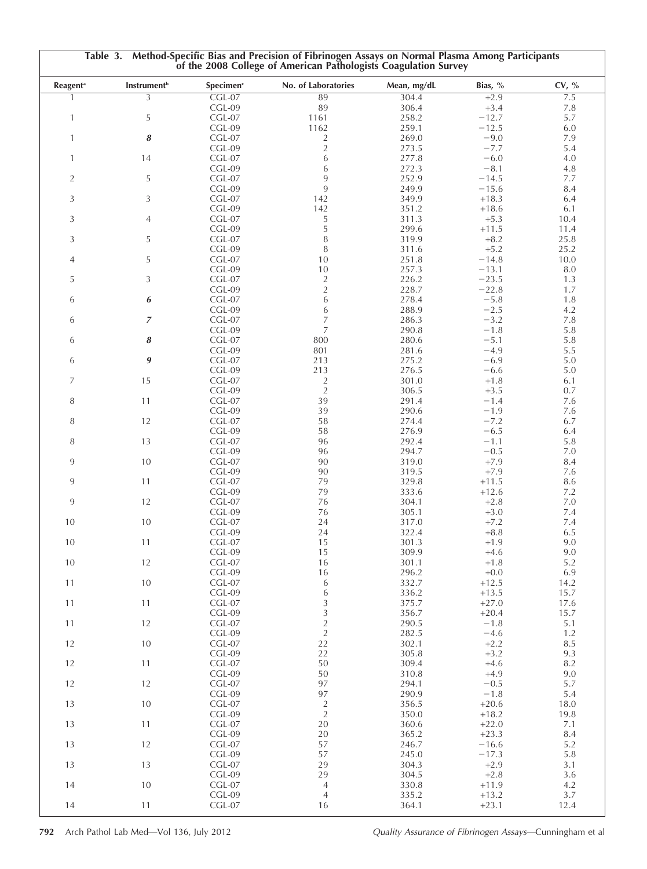| <b>Reagent</b> <sup>a</sup> | <b>Instrument</b> <sup>b</sup> | Specimen <sup>c</sup> | No. of Laboratories      | Mean, mg/dL    | Bias, %           | CV, %       |
|-----------------------------|--------------------------------|-----------------------|--------------------------|----------------|-------------------|-------------|
|                             | $\overline{3}$                 | $CGL-07$              | 89                       | 304.4          | $+2.9$            | 7.5         |
|                             | 5                              | CGL-09<br>$CGL-07$    | 89                       | 306.4<br>258.2 | $+3.4$<br>$-12.7$ | 7.8<br>5.7  |
| $\mathbf{1}$                |                                | CGL-09                | 1161<br>1162             | 259.1          | $-12.5$           | 6.0         |
| $\mathbf{1}$                | 8                              | $CGL-07$              | $\overline{c}$           | 269.0          | $-9.0$            | 7.9         |
|                             |                                | CGL-09                | $\overline{c}$           | 273.5          | $-7.7$            | 5.4         |
| 1                           | 14                             | CGL-07                | $\,$ 6 $\,$              | 277.8          | $-6.0$            | 4.0         |
|                             |                                | CGL-09                | 6                        | 272.3          | $-8.1$            | 4.8         |
| $\overline{2}$              | 5                              | $CGL-07$              | $\overline{9}$           | 252.9          | $-14.5$           | 7.7         |
|                             |                                | CGL-09                | 9                        | 249.9          | $-15.6$           | 8.4         |
| 3                           | 3                              | $CGL-07$              | 142                      | 349.9          | $+18.3$           | 6.4         |
| 3                           | 4                              | CGL-09<br>$CGL-07$    | 142<br>5                 | 351.2<br>311.3 | $+18.6$<br>$+5.3$ | 6.1<br>10.4 |
|                             |                                | CGL-09                | 5                        | 299.6          | $+11.5$           | 11.4        |
| 3                           | 5                              | $CGL-07$              | $\, 8$                   | 319.9          | $+8.2$            | 25.8        |
|                             |                                | CGL-09                | 8                        | 311.6          | $+5.2$            | 25.2        |
| 4                           | 5                              | $CGL-07$              | 10                       | 251.8          | $-14.8$           | 10.0        |
|                             |                                | CGL-09                | 10                       | 257.3          | $-13.1$           | 8.0         |
| 5                           | 3                              | $CGL-07$              | $\overline{c}$           | 226.2          | $-23.5$           | 1.3         |
|                             |                                | CGL-09                | $\sqrt{2}$               | 228.7          | $-22.8$           | 1.7         |
| 6                           | 6                              | $CGL-07$              | $\,$ 6 $\,$              | 278.4          | $-5.8$            | 1.8         |
|                             |                                | CGL-09                | 6                        | 288.9          | $-2.5$            | 4.2         |
| 6                           | $\overline{z}$                 | $CGL-07$              | $\overline{7}$           | 286.3          | $-3.2$            | 7.8         |
|                             |                                | CGL-09                | $\overline{7}$           | 290.8          | $-1.8$            | 5.8         |
| 6                           | 8                              | $CGL-07$              | 800                      | 280.6          | $-5.1$            | 5.8         |
| 6                           | 9                              | CGL-09<br>$CGL-07$    | 801<br>213               | 281.6<br>275.2 | $-4.9$<br>$-6.9$  | 5.5<br>5.0  |
|                             |                                | CGL-09                | 213                      | 276.5          | $-6.6$            | 5.0         |
| 7                           | 15                             | $CGL-07$              | $\overline{2}$           | 301.0          | $+1.8$            | 6.1         |
|                             |                                | CGL-09                | $\sqrt{2}$               | 306.5          | $+3.5$            | 0.7         |
| 8                           | 11                             | $CGL-07$              | 39                       | 291.4          | $-1.4$            | 7.6         |
|                             |                                | CGL-09                | 39                       | 290.6          | $-1.9$            | 7.6         |
| 8                           | 12                             | $CGL-07$              | 58                       | 274.4          | $-7.2$            | 6.7         |
|                             |                                | CGL-09                | 58                       | 276.9          | $-6.5$            | 6.4         |
| 8                           | 13                             | $CGL-07$              | 96                       | 292.4          | $-1.1$            | 5.8         |
|                             |                                | CGL-09                | 96                       | 294.7          | $-0.5$            | 7.0         |
| 9                           | 10                             | $CGL-07$              | 90                       | 319.0          | $+7.9$            | 8.4         |
|                             |                                | CGL-09                | 90                       | 319.5          | $+7.9$            | 7.6         |
| 9                           | 11                             | $CGL-07$              | 79                       | 329.8          | $+11.5$           | 8.6         |
| 9                           | 12                             | CGL-09<br>$CGL-07$    | 79<br>76                 | 333.6<br>304.1 | $+12.6$<br>$+2.8$ | 7.2<br>7.0  |
|                             |                                | CGL-09                | 76                       | 305.1          | $+3.0$            | 7.4         |
| 10                          | 10                             | $CGL-07$              | 24                       | 317.0          | $+7.2$            | 7.4         |
|                             |                                | CGL-09                | 24                       | 322.4          | $+8.8$            | 6.5         |
| 10                          | 11                             | $CGL-07$              | 15                       | 301.3          | $+1.9$            | 9.0         |
|                             |                                | CGL-09                | 15                       | 309.9          | $+4.6$            | 9.0         |
| 10                          | 12                             | $CGL-07$              | 16                       | 301.1          | $+1.8$            | 5.2         |
|                             |                                | CGL-09                | 16                       | 296.2          | $+0.0$            | 6.9         |
| 11                          | 10                             | $CGL-07$              | $\boldsymbol{6}$         | 332.7          | $+12.5$           | 14.2        |
|                             |                                | CGL-09                | 6                        | 336.2          | $+13.5$           | 15.7        |
| 11                          | 11                             | $CGL-07$              | $\sqrt{3}$               | 375.7          | $+27.0$           | 17.6        |
|                             |                                | $CGL-09$              | $\overline{3}$           | 356.7          | $+20.4$           | 15.7        |
| 11                          | 12                             | $CGL-07$              | $\sqrt{2}$<br>$\sqrt{2}$ | 290.5          | $-1.8$<br>$-4.6$  | 5.1<br>1.2  |
| 12                          | 10                             | CGL-09<br>$CGL-07$    | 22                       | 282.5<br>302.1 | $+2.2$            | 8.5         |
|                             |                                | CGL-09                | 22                       | 305.8          | $+3.2$            | 9.3         |
| 12                          | 11                             | $CGL-07$              | 50                       | 309.4          | $+4.6$            | 8.2         |
|                             |                                | CGL-09                | 50                       | 310.8          | $+4.9$            | 9.0         |
| 12                          | 12                             | $CGL-07$              | 97                       | 294.1          | $-0.5$            | 5.7         |
|                             |                                | CGL-09                | 97                       | 290.9          | $-1.8$            | 5.4         |
| 13                          | 10                             | $CGL-07$              | $\overline{c}$           | 356.5          | $+20.6$           | 18.0        |
|                             |                                | CGL-09                | $\sqrt{2}$               | 350.0          | $+18.2$           | 19.8        |
| 13                          | 11                             | $CGL-07$              | 20                       | 360.6          | $+22.0$           | 7.1         |
|                             |                                | CGL-09                | 20                       | 365.2          | $+23.3$           | 8.4         |
| 13                          | 12                             | $CGL-07$              | 57                       | 246.7          | $-16.6$           | 5.2         |
|                             |                                | CGL-09                | 57                       | 245.0          | $-17.3$           | 5.8         |
| 13                          | 13                             | $CGL-07$              | 29                       | 304.3          | $+2.9$            | 3.1         |
|                             |                                | CGL-09                | 29                       | 304.5          | $+2.8$            | 3.6         |
| 14                          | 10                             | $CGL-07$<br>CGL-09    | $\overline{4}$           | 330.8<br>335.2 | $+11.9$           | 4.2         |
|                             |                                |                       | $\overline{4}$           |                | $+13.2$           | 3.7         |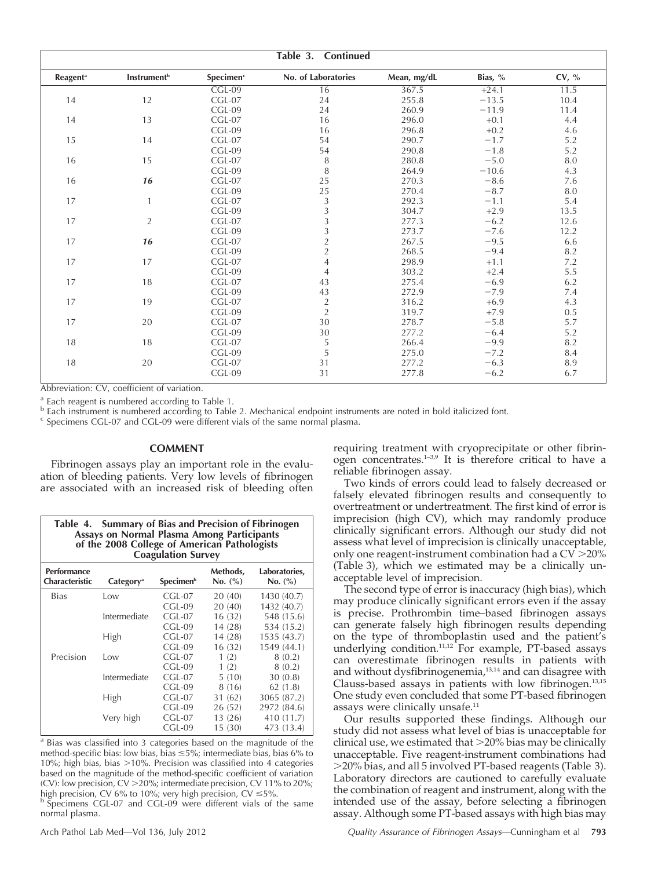|                             |                                |                       | Table 3. Continued  |             |         |          |
|-----------------------------|--------------------------------|-----------------------|---------------------|-------------|---------|----------|
| <b>Reagent</b> <sup>a</sup> | <b>Instrument</b> <sup>b</sup> | Specimen <sup>c</sup> | No. of Laboratories | Mean, mg/dL | Bias, % | CV, $\%$ |
|                             |                                | $CGL-09$              | 16                  | 367.5       | $+24.1$ | 11.5     |
| 14                          | 12                             | $CGL-07$              | 24                  | 255.8       | $-13.5$ | 10.4     |
|                             |                                | $CGL-09$              | 24                  | 260.9       | $-11.9$ | 11.4     |
| 14                          | 13                             | $CGL-07$              | 16                  | 296.0       | $+0.1$  | 4.4      |
|                             |                                | $CGL-09$              | 16                  | 296.8       | $+0.2$  | 4.6      |
| 15                          | 14                             | $CGL-07$              | 54                  | 290.7       | $-1.7$  | 5.2      |
|                             |                                | $CGL-09$              | 54                  | 290.8       | $-1.8$  | 5.2      |
| 16                          | 15                             | $CGL-07$              | 8                   | 280.8       | $-5.0$  | 8.0      |
|                             |                                | $CGL-09$              | 8                   | 264.9       | $-10.6$ | 4.3      |
| 16                          | 16                             | $CGL-07$              | 25                  | 270.3       | $-8.6$  | 7.6      |
|                             |                                | $CGL-09$              | 25                  | 270.4       | $-8.7$  | 8.0      |
| 17                          | $\mathbf{1}$                   | $CGL-07$              | 3                   | 292.3       | $-1.1$  | 5.4      |
|                             |                                | $CGL-09$              | 3                   | 304.7       | $+2.9$  | 13.5     |
| 17                          | $\overline{2}$                 | $CGL-07$              | 3                   | 277.3       | $-6.2$  | 12.6     |
|                             |                                | $CGL-09$              | 3                   | 273.7       | $-7.6$  | 12.2     |
| 17                          | 16                             | $CGL-07$              | $\overline{c}$      | 267.5       | $-9.5$  | 6.6      |
|                             |                                | $CGL-09$              | $\overline{2}$      | 268.5       | $-9.4$  | 8.2      |
| 17                          | 17                             | $CGL-07$              | $\overline{4}$      | 298.9       | $+1.1$  | 7.2      |
|                             |                                | $CGL-09$              | $\overline{4}$      | 303.2       | $+2.4$  | 5.5      |
| 17                          | 18                             | $CGL-07$              | 43                  | 275.4       | $-6.9$  | 6.2      |
|                             |                                | $CGL-09$              | 43                  | 272.9       | $-7.9$  | 7.4      |
| 17                          | 19                             | $CGL-07$              | $\overline{2}$      | 316.2       | $+6.9$  | 4.3      |
|                             |                                | $CGL-09$              | $\overline{2}$      | 319.7       | $+7.9$  | 0.5      |
| 17                          | 20                             | $CGL-07$              | 30                  | 278.7       | $-5.8$  | 5.7      |
|                             |                                | $CGL-09$              | 30                  | 277.2       | $-6.4$  | 5.2      |
| 18                          | 18                             | $CGL-07$              | 5                   | 266.4       | $-9.9$  | 8.2      |
|                             |                                | $CGL-09$              | 5                   | 275.0       | $-7.2$  | 8.4      |
| 18                          | 20                             | $CGL-07$              | 31                  | 277.2       | $-6.3$  | 8.9      |
|                             |                                | CGL-09                | 31                  | 277.8       | $-6.2$  | 6.7      |

Abbreviation: CV, coefficient of variation.

<sup>a</sup> Each reagent is numbered according to Table 1.<br><sup>b</sup> Each instrument is numbered according to Table 2. Mechanical endpoint instruments are noted in bold italicized font.<br><sup>c</sup> Specimens CGL-07 and CGL-09 were different vi

#### **COMMENT**

Fibrinogen assays play an important role in the evaluation of bleeding patients. Very low levels of fibrinogen are associated with an increased risk of bleeding often

| Table 4. Summary of Bias and Precision of Fibrinogen<br><b>Assays on Normal Plasma Among Participants</b><br>of the 2008 College of American Pathologists<br><b>Coagulation Survey</b> |                       |                       |                     |                          |  |
|----------------------------------------------------------------------------------------------------------------------------------------------------------------------------------------|-----------------------|-----------------------|---------------------|--------------------------|--|
| <b>Performance</b><br>Characteristic                                                                                                                                                   | Category <sup>a</sup> | Specimen <sup>b</sup> | Methods,<br>No. (%) | Laboratories,<br>No. (%) |  |
| <b>Bias</b>                                                                                                                                                                            | Low                   | CGL-07                | 20 (40)             | 1430 (40.7)              |  |
|                                                                                                                                                                                        |                       | CGL-09                | 20(40)              | 1432 (40.7)              |  |
|                                                                                                                                                                                        | Intermediate          | $CGL-07$              | 16(32)              | 548 (15.6)               |  |
|                                                                                                                                                                                        |                       | $CGL-09$              | 14 (28)             | 534 (15.2)               |  |
|                                                                                                                                                                                        | High                  | $CGL-07$              | 14(28)              | 1535 (43.7)              |  |
|                                                                                                                                                                                        |                       | $CGL-09$              | 16(32)              | 1549 (44.1)              |  |
| Precision                                                                                                                                                                              | Low                   | $CGL-07$              | 1(2)                | 8(0.2)                   |  |
|                                                                                                                                                                                        |                       | $CGL-09$              | 1(2)                | 8(0.2)                   |  |
|                                                                                                                                                                                        | Intermediate          | $CGL-07$              | 5(10)               | 30(0.8)                  |  |
|                                                                                                                                                                                        |                       | $CGL-09$              | 8(16)               | 62(1.8)                  |  |
|                                                                                                                                                                                        | High                  | $CGL-07$              | 31 (62)             | 3065 (87.2)              |  |
|                                                                                                                                                                                        |                       | CGL-09                | 26(52)              | 2972 (84.6)              |  |
|                                                                                                                                                                                        | Very high             | $CGL-07$              | 13(26)              | 410 (11.7)               |  |
|                                                                                                                                                                                        |                       | $CGL-09$              | 15 (30)             | 473 (13.4)               |  |

<sup>a</sup> Bias was classified into 3 categories based on the magnitude of the method-specific bias: low bias, bias  $\leq$ 5%; intermediate bias, bias 6% to 10%; high bias, bias  $>10\%$ . Precision was classified into 4 categories based on the magnitude of the method-specific coefficient of variation (CV): low precision, CV > 20%; intermediate precision, CV 11% to 20%; high precision, CV 6% to 10%; very high precision, CV  $\leq$  5%.

<sup>b</sup> Specimens CGL-07 and CGL-09 were different vials of the same normal plasma.

requiring treatment with cryoprecipitate or other fibrinogen concentrates.1–3,9 It is therefore critical to have a reliable fibrinogen assay.

Two kinds of errors could lead to falsely decreased or falsely elevated fibrinogen results and consequently to overtreatment or undertreatment. The first kind of error is imprecision (high CV), which may randomly produce clinically significant errors. Although our study did not assess what level of imprecision is clinically unacceptable, only one reagent-instrument combination had a  $CV > 20\%$ (Table 3), which we estimated may be a clinically unacceptable level of imprecision.

The second type of error is inaccuracy (high bias), which may produce clinically significant errors even if the assay is precise. Prothrombin time–based fibrinogen assays can generate falsely high fibrinogen results depending on the type of thromboplastin used and the patient's underlying condition.11,12 For example, PT-based assays can overestimate fibrinogen results in patients with and without dysfibrinogenemia,<sup>13,14</sup> and can disagree with Clauss-based assays in patients with low fibrinogen.13,15 One study even concluded that some PT-based fibrinogen assays were clinically unsafe.<sup>11</sup>

Our results supported these findings. Although our study did not assess what level of bias is unacceptable for clinical use, we estimated that  $>20\%$  bias may be clinically unacceptable. Five reagent-instrument combinations had .20% bias, and all 5 involved PT-based reagents (Table 3). Laboratory directors are cautioned to carefully evaluate the combination of reagent and instrument, along with the intended use of the assay, before selecting a fibrinogen assay. Although some PT-based assays with high bias may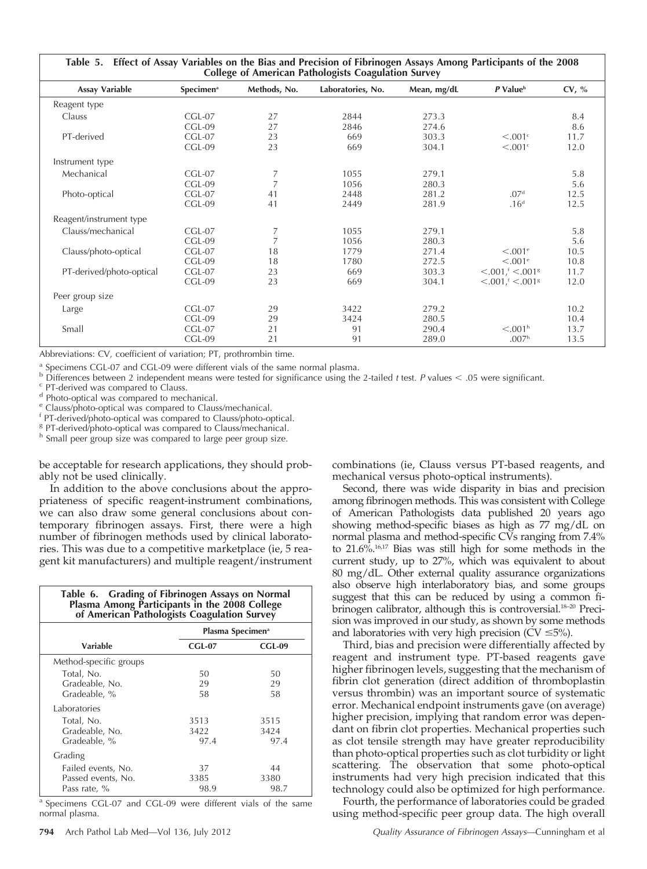| Table 5. Effect of Assay Variables on the Bias and Precision of Fibrinogen Assays Among Participants of the 2008<br><b>College of American Pathologists Coagulation Survey</b> |                              |              |                   |                |                                                                 |              |
|--------------------------------------------------------------------------------------------------------------------------------------------------------------------------------|------------------------------|--------------|-------------------|----------------|-----------------------------------------------------------------|--------------|
| <b>Assay Variable</b>                                                                                                                                                          | <b>Specimen</b> <sup>a</sup> | Methods, No. | Laboratories, No. | Mean, mg/dL    | P Value <sup>b</sup>                                            | CV, %        |
| Reagent type                                                                                                                                                                   |                              |              |                   |                |                                                                 |              |
| Clauss                                                                                                                                                                         | $CGL-07$<br>$CGL-09$         | 27<br>27     | 2844<br>2846      | 273.3<br>274.6 |                                                                 | 8.4<br>8.6   |
| PT-derived                                                                                                                                                                     | $CGL-07$<br>$CGL-09$         | 23<br>23     | 669<br>669        | 303.3<br>304.1 | $\leq 0.01$ <sup>c</sup><br>$< 0.01$ <sup>c</sup>               | 11.7<br>12.0 |
| Instrument type                                                                                                                                                                |                              |              |                   |                |                                                                 |              |
| Mechanical                                                                                                                                                                     | $CGL-07$<br>$CGL-09$         | 7            | 1055<br>1056      | 279.1<br>280.3 |                                                                 | 5.8<br>5.6   |
| Photo-optical                                                                                                                                                                  | $CGL-07$<br>$CGL-09$         | 41<br>41     | 2448<br>2449      | 281.2<br>281.9 | .07 <sup>d</sup><br>.16 <sup>d</sup>                            | 12.5<br>12.5 |
| Reagent/instrument type                                                                                                                                                        |                              |              |                   |                |                                                                 |              |
| Clauss/mechanical                                                                                                                                                              | $CGL-07$<br>$CGL-09$         | 7            | 1055<br>1056      | 279.1<br>280.3 |                                                                 | 5.8<br>5.6   |
| Clauss/photo-optical                                                                                                                                                           | $CGL-07$<br>$CGL-09$         | 18<br>18     | 1779<br>1780      | 271.4<br>272.5 | $< 0.001$ <sup>e</sup><br>$< 0.01$ <sup>e</sup>                 | 10.5<br>10.8 |
| PT-derived/photo-optical                                                                                                                                                       | $CGL-07$<br>CGL-09           | 23<br>23     | 669<br>669        | 303.3<br>304.1 | $< 0.001$ , $< 0.0018$<br>$\leq$ .001, $\leq$ .001 <sup>g</sup> | 11.7<br>12.0 |
| Peer group size                                                                                                                                                                |                              |              |                   |                |                                                                 |              |
| Large                                                                                                                                                                          | $CGL-07$<br>$CGL-09$         | 29<br>29     | 3422<br>3424      | 279.2<br>280.5 |                                                                 | 10.2<br>10.4 |
| Small                                                                                                                                                                          | $CGL-07$<br>$CGL-09$         | 21<br>21     | 91<br>91          | 290.4<br>289.0 | < 0.01 <sup>h</sup><br>.007 <sup>h</sup>                        | 13.7<br>13.5 |

Abbreviations: CV, coefficient of variation; PT, prothrombin time.

<sup>a</sup> Specimens CGL-07 and CGL-09 were different vials of the same normal plasma.<br>
<sup>b</sup> Differences between 2 independent means were tested for significance using the 2-tailed *t* test. *P* values < .05 were significant.<br>
<sup>c</sup>

<sup>h</sup> Small peer group size was compared to large peer group size.

be acceptable for research applications, they should probably not be used clinically.

In addition to the above conclusions about the appropriateness of specific reagent-instrument combinations, we can also draw some general conclusions about contemporary fibrinogen assays. First, there were a high number of fibrinogen methods used by clinical laboratories. This was due to a competitive marketplace (ie, 5 reagent kit manufacturers) and multiple reagent/instrument

| Table 6. Grading of Fibrinogen Assays on Normal<br>Plasma Among Participants in the 2008 College<br>of American Pathologists Coagulation Survey |                              |        |  |  |
|-------------------------------------------------------------------------------------------------------------------------------------------------|------------------------------|--------|--|--|
|                                                                                                                                                 | Plasma Specimen <sup>a</sup> |        |  |  |
| Variable                                                                                                                                        | $CGL-07$                     | CGL-09 |  |  |
| Method-specific groups                                                                                                                          |                              |        |  |  |
| Total, No.                                                                                                                                      | 50                           | 50     |  |  |
| Gradeable, No.                                                                                                                                  | 29                           | 29     |  |  |
| Gradeable, %                                                                                                                                    | 58                           | 58     |  |  |
| Laboratories                                                                                                                                    |                              |        |  |  |
| Total, No.                                                                                                                                      | 3513                         | 3515   |  |  |
| Gradeable, No.                                                                                                                                  | 3422                         | 3424   |  |  |
| Gradeable, %                                                                                                                                    | 97.4                         | 97.4   |  |  |
| Grading                                                                                                                                         |                              |        |  |  |
| Failed events, No.                                                                                                                              | 37                           | 44     |  |  |
| Passed events, No.                                                                                                                              | 3385                         | 3380   |  |  |
| Pass rate, %                                                                                                                                    | 98.9                         | 98.7   |  |  |

<sup>a</sup> Specimens CGL-07 and CGL-09 were different vials of the same normal plasma.

combinations (ie, Clauss versus PT-based reagents, and mechanical versus photo-optical instruments).

Second, there was wide disparity in bias and precision among fibrinogen methods. This was consistent with College of American Pathologists data published 20 years ago showing method-specific biases as high as 77 mg/dL on normal plasma and method-specific CVs ranging from 7.4% to 21.6%.16,17 Bias was still high for some methods in the current study, up to 27%, which was equivalent to about 80 mg/dL. Other external quality assurance organizations also observe high interlaboratory bias, and some groups suggest that this can be reduced by using a common fibrinogen calibrator, although this is controversial.<sup>18–20</sup> Precision was improved in our study, as shown by some methods and laboratories with very high precision (CV  $\leq$ 5%).

Third, bias and precision were differentially affected by reagent and instrument type. PT-based reagents gave higher fibrinogen levels, suggesting that the mechanism of fibrin clot generation (direct addition of thromboplastin versus thrombin) was an important source of systematic error. Mechanical endpoint instruments gave (on average) higher precision, implying that random error was dependant on fibrin clot properties. Mechanical properties such as clot tensile strength may have greater reproducibility than photo-optical properties such as clot turbidity or light scattering. The observation that some photo-optical instruments had very high precision indicated that this technology could also be optimized for high performance.

Fourth, the performance of laboratories could be graded using method-specific peer group data. The high overall